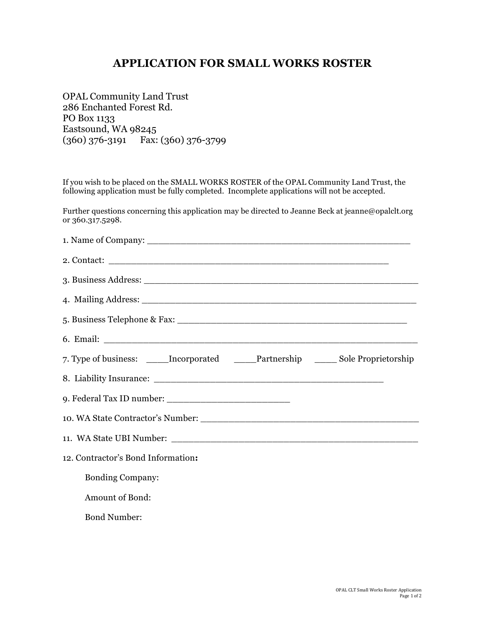## **APPLICATION FOR SMALL WORKS ROSTER**

OPAL Community Land Trust 286 Enchanted Forest Rd. PO Box 1133 Eastsound, WA 98245 (360) 376-3191 Fax: (360) 376-3799

If you wish to be placed on the SMALL WORKS ROSTER of the OPAL Community Land Trust, the following application must be fully completed. Incomplete applications will not be accepted.

Further questions concerning this application may be directed to Jeanne Beck at jeanne@opalclt.org or 360.317.5298.

| 7. Type of business: _____Incorporated _____Partnership ______ Sole Proprietorship |
|------------------------------------------------------------------------------------|
|                                                                                    |
|                                                                                    |
|                                                                                    |
|                                                                                    |
| 12. Contractor's Bond Information:                                                 |
| <b>Bonding Company:</b>                                                            |
| Amount of Bond:                                                                    |
| <b>Bond Number:</b>                                                                |
|                                                                                    |